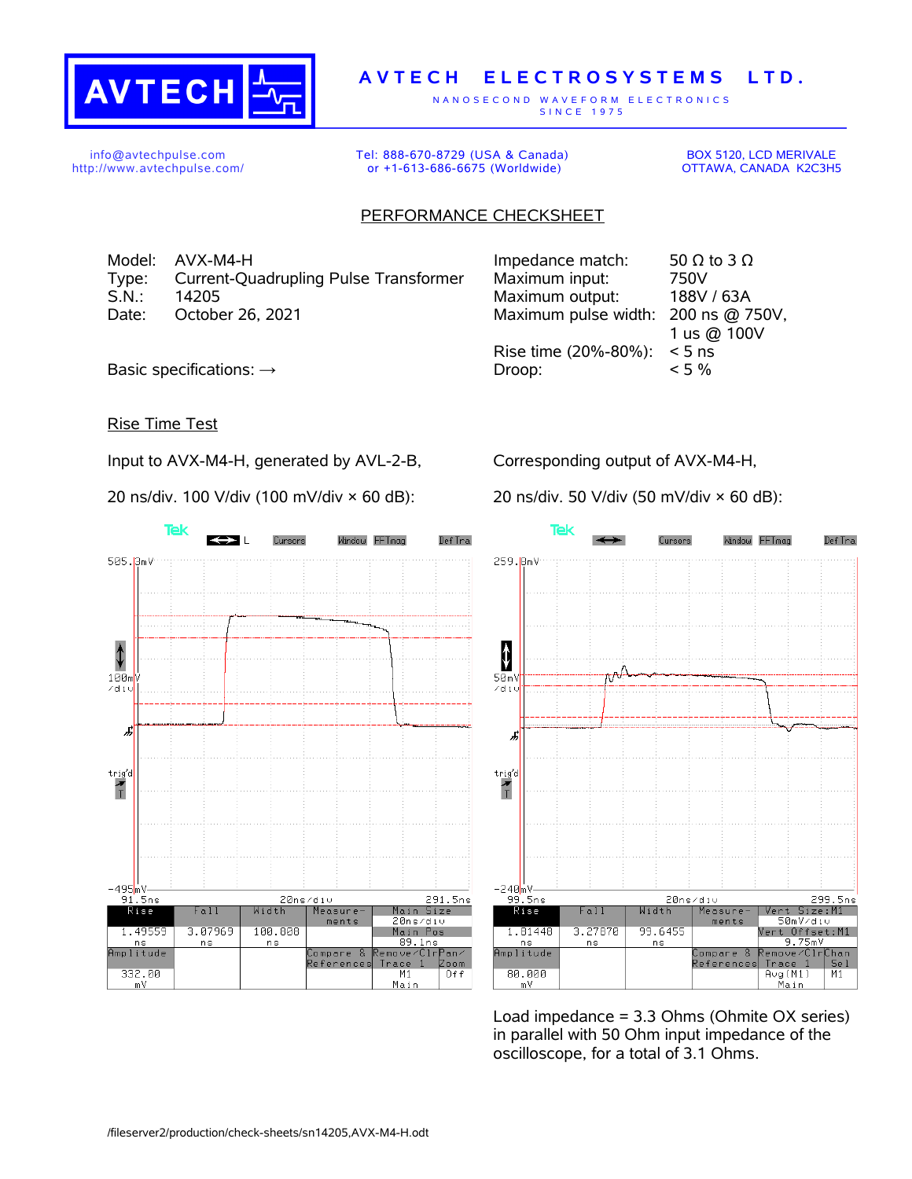

## **A V T E C H E L E C T R O S Y S T E M S L T D .**

N A N O S E C O N D W A V E F O R M E L E C T R O N I C S S IN C E 1975

info@avtechpulse.com http://www.avtechpulse.com/ Tel: 888-670-8729 (USA & Canada) or +1-613-686-6675 (Worldwide)

BOX 5120, LCD MERIVALE OTTAWA, CANADA K2C3H5

## PERFORMANCE CHECKSHEET

Model: AVX-M4-H Type: Current-Quadrupling Pulse Transformer S.N.: 14205 Maximum output: 188V / 63A Date: October 26, 2021

| Impedance match:     | 50 $\Omega$ to 3 $\Omega$ |
|----------------------|---------------------------|
| Maximum input:       | 750V                      |
| Maximum output:      | 188V / 63A                |
| Maximum pulse width: | 200 ns @ 750V,            |
|                      | 1 us @ 100V               |
| Rise time (20%-80%): | $< 5$ ns                  |
| Droop:               | $< 5\%$                   |
|                      |                           |

Basic specifications:  $\rightarrow$ 

## Rise Time Test

Input to AVX-M4-H, generated by AVL-2-B,

20 ns/div. 100 V/div (100 mV/div × 60 dB):

Corresponding output of AVX-M4-H,

20 ns/div. 50 V/div (50 mV/div × 60 dB):





Load impedance = 3.3 Ohms (Ohmite OX series) in parallel with 50 Ohm input impedance of the oscilloscope, for a total of 3.1 Ohms.

/fileserver2/production/check-sheets/sn14205,AVX-M4-H.odt